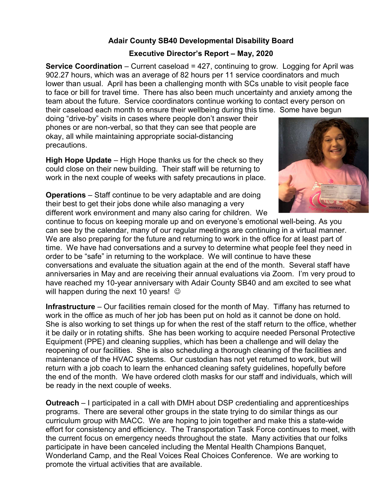## Adair County SB40 Developmental Disability Board

## Executive Director's Report – May, 2020

**Service Coordination** – Current caseload  $= 427$ , continuing to grow. Logging for April was 902.27 hours, which was an average of 82 hours per 11 service coordinators and much lower than usual. April has been a challenging month with SCs unable to visit people face to face or bill for travel time. There has also been much uncertainty and anxiety among the team about the future. Service coordinators continue working to contact every person on their caseload each month to ensure their wellbeing during this time. Some have begun

doing "drive-by" visits in cases where people don't answer their phones or are non-verbal, so that they can see that people are okay, all while maintaining appropriate social-distancing precautions.

High Hope Update – High Hope thanks us for the check so they could close on their new building. Their staff will be returning to work in the next couple of weeks with safety precautions in place.



Operations – Staff continue to be very adaptable and are doing their best to get their jobs done while also managing a very different work environment and many also caring for children. We

continue to focus on keeping morale up and on everyone's emotional well-being. As you can see by the calendar, many of our regular meetings are continuing in a virtual manner. We are also preparing for the future and returning to work in the office for at least part of time. We have had conversations and a survey to determine what people feel they need in order to be "safe" in returning to the workplace. We will continue to have these conversations and evaluate the situation again at the end of the month. Several staff have anniversaries in May and are receiving their annual evaluations via Zoom. I'm very proud to have reached my 10-year anniversary with Adair County SB40 and am excited to see what will happen during the next 10 years!  $\odot$ 

Infrastructure – Our facilities remain closed for the month of May. Tiffany has returned to work in the office as much of her job has been put on hold as it cannot be done on hold. She is also working to set things up for when the rest of the staff return to the office, whether it be daily or in rotating shifts. She has been working to acquire needed Personal Protective Equipment (PPE) and cleaning supplies, which has been a challenge and will delay the reopening of our facilities. She is also scheduling a thorough cleaning of the facilities and maintenance of the HVAC systems. Our custodian has not yet returned to work, but will return with a job coach to learn the enhanced cleaning safety guidelines, hopefully before the end of the month. We have ordered cloth masks for our staff and individuals, which will be ready in the next couple of weeks.

Outreach – I participated in a call with DMH about DSP credentialing and apprenticeships programs. There are several other groups in the state trying to do similar things as our curriculum group with MACC. We are hoping to join together and make this a state-wide effort for consistency and efficiency. The Transportation Task Force continues to meet, with the current focus on emergency needs throughout the state. Many activities that our folks participate in have been canceled including the Mental Health Champions Banquet, Wonderland Camp, and the Real Voices Real Choices Conference. We are working to promote the virtual activities that are available.